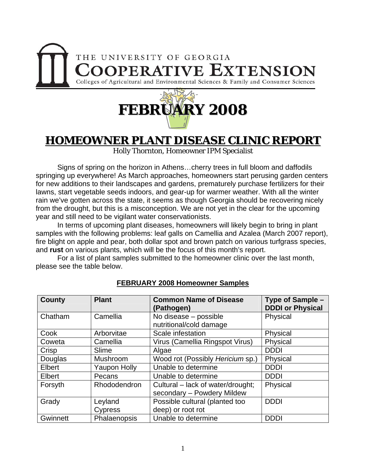



## **HOMEOWNER PLANT DISEASE CLINIC REPORT**

Holly Thornton, Homeowner IPM Specialist

 Signs of spring on the horizon in Athens…cherry trees in full bloom and daffodils springing up everywhere! As March approaches, homeowners start perusing garden centers for new additions to their landscapes and gardens, prematurely purchase fertilizers for their lawns, start vegetable seeds indoors, and gear-up for warmer weather. With all the winter rain we've gotten across the state, it seems as though Georgia should be recovering nicely from the drought, but this is a misconception. We are not yet in the clear for the upcoming year and still need to be vigilant water conservationists.

 In terms of upcoming plant diseases, homeowners will likely begin to bring in plant samples with the following problems: leaf galls on Camellia and Azalea (March 2007 report), fire blight on apple and pear, both dollar spot and brown patch on various turfgrass species, and **rust** on various plants, which will be the focus of this month's report.

 For a list of plant samples submitted to the homeowner clinic over the last month, please see the table below.

| <b>County</b> | <b>Plant</b>        | <b>Common Name of Disease</b><br>(Pathogen)                     | Type of Sample -<br><b>DDDI or Physical</b> |
|---------------|---------------------|-----------------------------------------------------------------|---------------------------------------------|
| Chatham       | Camellia            | No disease - possible<br>nutritional/cold damage                | Physical                                    |
| Cook          | Arborvitae          | Scale infestation                                               | Physical                                    |
| Coweta        | Camellia            | Virus (Camellia Ringspot Virus)                                 | Physical                                    |
| Crisp         | Slime               | Algae                                                           | <b>DDDI</b>                                 |
| Douglas       | Mushroom            | Wood rot (Possibly Hericium sp.)                                | Physical                                    |
| Elbert        | <b>Yaupon Holly</b> | Unable to determine                                             | <b>DDDI</b>                                 |
| Elbert        | Pecans              | Unable to determine                                             | <b>DDDI</b>                                 |
| Forsyth       | <b>Rhododendron</b> | Cultural – lack of water/drought;<br>secondary - Powdery Mildew | Physical                                    |
| Grady         | Leyland             | Possible cultural (planted too                                  | <b>DDDI</b>                                 |
|               | Cypress             | deep) or root rot                                               |                                             |
| Gwinnett      | Phalaenopsis        | Unable to determine                                             | <b>DDDI</b>                                 |

## **FEBRUARY 2008 Homeowner Samples**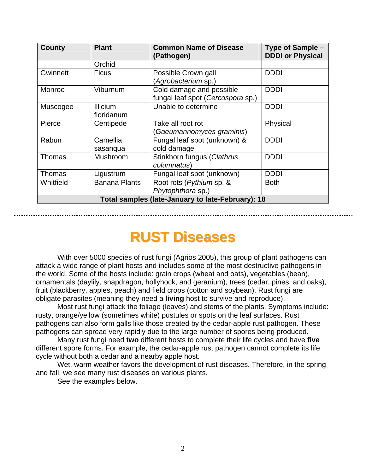| <b>County</b>                                     | <b>Plant</b>         | <b>Common Name of Disease</b><br>(Pathogen) | Type of Sample -<br><b>DDDI or Physical</b> |  |
|---------------------------------------------------|----------------------|---------------------------------------------|---------------------------------------------|--|
|                                                   | Orchid               |                                             |                                             |  |
| Gwinnett                                          | <b>Ficus</b>         | Possible Crown gall                         | <b>DDDI</b>                                 |  |
|                                                   |                      | (Agrobacterium sp.)                         |                                             |  |
| Monroe                                            | Viburnum             | Cold damage and possible                    | <b>DDDI</b>                                 |  |
|                                                   |                      | fungal leaf spot (Cercospora sp.)           |                                             |  |
| Muscogee                                          | <b>Illicium</b>      | Unable to determine                         | <b>DDDI</b>                                 |  |
|                                                   | floridanum           |                                             |                                             |  |
| Pierce                                            | Centipede            | Take all root rot                           | Physical                                    |  |
|                                                   |                      | Gaeumannomyces graminis)                    |                                             |  |
| Rabun                                             | Camellia             | Fungal leaf spot (unknown) &                | <b>DDDI</b>                                 |  |
|                                                   | sasanqua             | cold damage                                 |                                             |  |
| Thomas                                            | Mushroom             | Stinkhorn fungus (Clathrus                  | <b>DDDI</b>                                 |  |
|                                                   |                      | columnatus)                                 |                                             |  |
| <b>Thomas</b>                                     | Ligustrum            | Fungal leaf spot (unknown)                  | <b>DDDI</b>                                 |  |
| Whitfield                                         | <b>Banana Plants</b> | Root rots (Pythium sp. &                    | <b>Both</b>                                 |  |
|                                                   |                      | Phytophthora sp.)                           |                                             |  |
| Total samples (late-January to late-February): 18 |                      |                                             |                                             |  |

## **RUST Diseases**

 With over 5000 species of rust fungi (Agrios 2005), this group of plant pathogens can attack a wide range of plant hosts and includes some of the most destructive pathogens in the world. Some of the hosts include: grain crops (wheat and oats), vegetables (bean), ornamentals (daylily, snapdragon, hollyhock, and geranium), trees (cedar, pines, and oaks), fruit (blackberry, apples, peach) and field crops (cotton and soybean). Rust fungi are obligate parasites (meaning they need a **living** host to survive and reproduce).

Most rust fungi attack the foliage (leaves) and stems of the plants. Symptoms include: rusty, orange/yellow (sometimes white) pustules or spots on the leaf surfaces. Rust pathogens can also form galls like those created by the cedar-apple rust pathogen. These pathogens can spread very rapidly due to the large number of spores being produced.

Many rust fungi need **two** different hosts to complete their life cycles and have **five** different spore forms. For example, the cedar-apple rust pathogen cannot complete its life cycle without both a cedar and a nearby apple host.

Wet, warm weather favors the development of rust diseases. Therefore, in the spring and fall, we see many rust diseases on various plants.

See the examples below.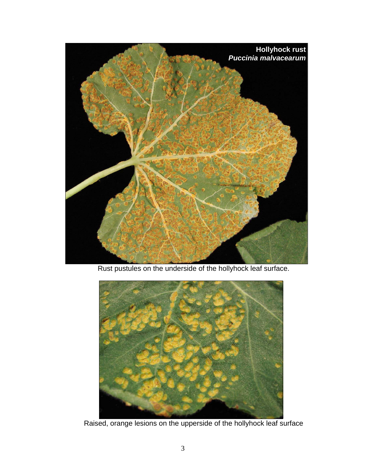

Rust pustules on the underside of the hollyhock leaf surface.



Raised, orange lesions on the upperside of the hollyhock leaf surface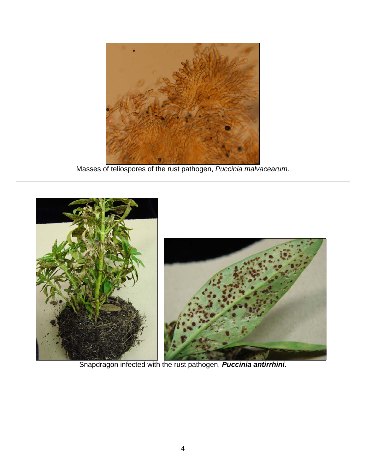

Masses of teliospores of the rust pathogen, *Puccinia malvacearum*.



Snapdragon infected with the rust pathogen, *Puccinia antirrhini*.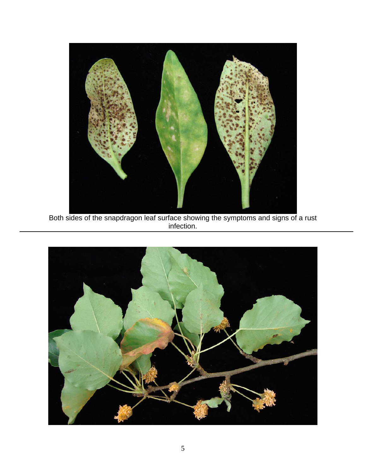

Both sides of the snapdragon leaf surface showing the symptoms and signs of a rust infection.

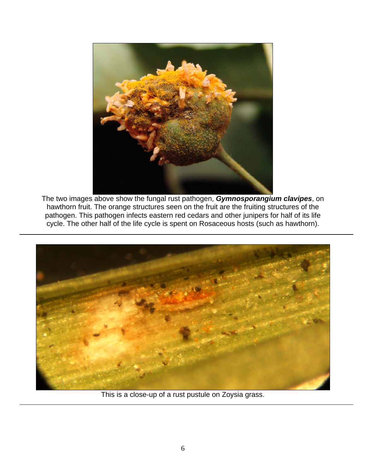

The two images above show the fungal rust pathogen, *Gymnosporangium clavipes*, on hawthorn fruit. The orange structures seen on the fruit are the fruiting structures of the pathogen. This pathogen infects eastern red cedars and other junipers for half of its life cycle. The other half of the life cycle is spent on Rosaceous hosts (such as hawthorn).



This is a close-up of a rust pustule on Zoysia grass.